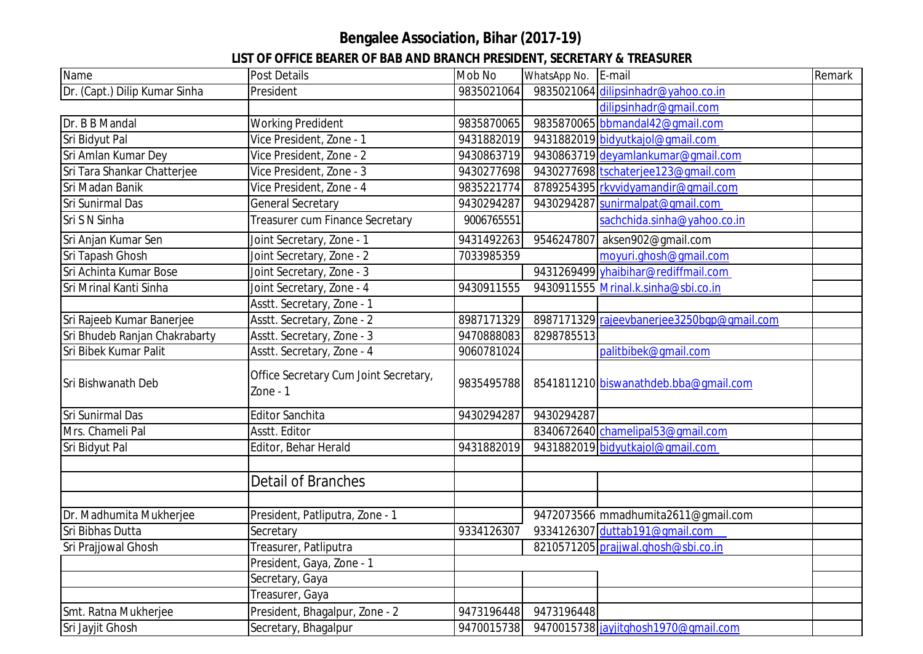## **Bengalee Association, Bihar (2017-19)**

## **LIST OF OFFICE BEARER OF BAB AND BRANCH PRESIDENT, SECRETARY & TREASURER**

| Name                          | <b>Post Details</b>                                 | Mob No     | WhatsApp No. | E-mail                                     | Remark |
|-------------------------------|-----------------------------------------------------|------------|--------------|--------------------------------------------|--------|
| Dr. (Capt.) Dilip Kumar Sinha | President                                           | 9835021064 |              | 9835021064 dilipsinhadr@yahoo.co.in        |        |
|                               |                                                     |            |              | dilipsinhadr@qmail.com                     |        |
| Dr. B B Mandal                | <b>Working Predident</b>                            | 9835870065 |              | 9835870065 bbmandal42@qmail.com            |        |
| Sri Bidyut Pal                | Vice President, Zone - 1                            | 9431882019 |              | 9431882019 bidyutkajol@gmail.com           |        |
| Sri Amlan Kumar Dey           | Vice President, Zone - 2                            | 9430863719 |              | 9430863719 deyamlankumar@gmail.com         |        |
| Sri Tara Shankar Chatterjee   | Vice President, Zone - 3                            | 9430277698 |              | 9430277698 tschaterjee123@gmail.com        |        |
| Sri Madan Banik               | Vice President, Zone - 4                            | 9835221774 |              | 8789254395 rkvvidyamandir@qmail.com        |        |
| Sri Sunirmal Das              | General Secretary                                   | 9430294287 |              | 9430294287 sunirmalpat@qmail.com           |        |
| Sri S N Sinha                 | Treasurer cum Finance Secretary                     | 9006765551 |              | sachchida.sinha@yahoo.co.in                |        |
| Sri Anjan Kumar Sen           | Joint Secretary, Zone - 1                           | 9431492263 |              | 9546247807 aksen902@gmail.com              |        |
| Sri Tapash Ghosh              | Joint Secretary, Zone - 2                           | 7033985359 |              | moyuri.ghosh@gmail.com                     |        |
| Sri Achinta Kumar Bose        | Joint Secretary, Zone - 3                           |            |              | 9431269499 yhaibihar@rediffmail.com        |        |
| Sri Mrinal Kanti Sinha        | Joint Secretary, Zone - 4                           | 9430911555 |              | 9430911555 Mrinal.k.sinha@sbi.co.in        |        |
|                               | Asstt. Secretary, Zone - 1                          |            |              |                                            |        |
| Sri Rajeeb Kumar Banerjee     | Asstt. Secretary, Zone - 2                          | 8987171329 |              | 8987171329 rajeevbanerjee3250bqp@qmail.com |        |
| Sri Bhudeb Ranjan Chakrabarty | Asstt. Secretary, Zone - 3                          | 9470888083 | 8298785513   |                                            |        |
| Sri Bibek Kumar Palit         | Asstt. Secretary, Zone - 4                          | 9060781024 |              | palitbibek@qmail.com                       |        |
| Sri Bishwanath Deb            | Office Secretary Cum Joint Secretary,<br>Zone - $1$ | 9835495788 |              | 8541811210 biswanathdeb.bba@qmail.com      |        |
| Sri Sunirmal Das              | <b>Editor Sanchita</b>                              | 9430294287 | 9430294287   |                                            |        |
| Mrs. Chameli Pal              | Asstt. Editor                                       |            |              | 8340672640 chamelipal53@qmail.com          |        |
| Sri Bidyut Pal                | Editor, Behar Herald                                | 9431882019 |              | 9431882019 bidyutkajol@gmail.com           |        |
|                               |                                                     |            |              |                                            |        |
|                               | <b>Detail of Branches</b>                           |            |              |                                            |        |
|                               |                                                     |            |              |                                            |        |
| Dr. Madhumita Mukherjee       | President, Patliputra, Zone - 1                     |            |              | 9472073566 mmadhumita2611@qmail.com        |        |
| Sri Bibhas Dutta              | Secretary                                           | 9334126307 |              | 9334126307 duttab191@gmail.com             |        |
| Sri Prajjowal Ghosh           | Treasurer, Patliputra                               |            |              | 8210571205 prajjwal.ghosh@sbi.co.in        |        |
|                               | President, Gaya, Zone - 1                           |            |              |                                            |        |
|                               | Secretary, Gaya                                     |            |              |                                            |        |
|                               | Treasurer, Gaya                                     |            |              |                                            |        |
| Smt. Ratna Mukherjee          | President, Bhagalpur, Zone - 2                      | 9473196448 | 9473196448   |                                            |        |
| Sri Jayjit Ghosh              | Secretary, Bhagalpur                                | 9470015738 |              | 9470015738 jayjitghosh1970@gmail.com       |        |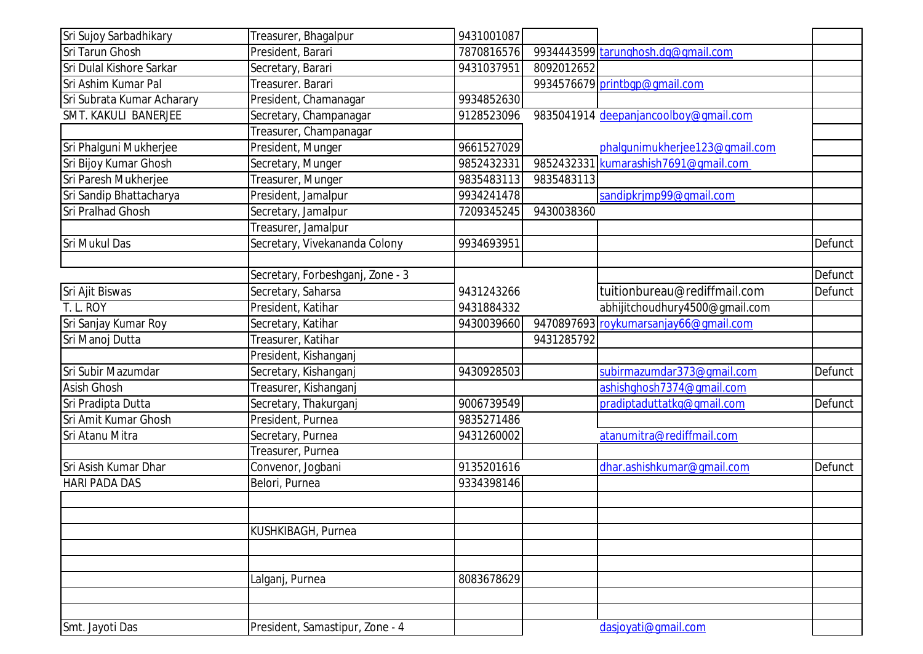| Sri Sujoy Sarbadhikary     | Treasurer, Bhagalpur             | 9431001087 |            |                                                                        |         |
|----------------------------|----------------------------------|------------|------------|------------------------------------------------------------------------|---------|
| Sri Tarun Ghosh            | President, Barari                | 7870816576 |            | 9934443599 tarunghosh.dg@gmail.com                                     |         |
| Sri Dulal Kishore Sarkar   | Secretary, Barari                | 9431037951 | 8092012652 |                                                                        |         |
| Sri Ashim Kumar Pal        | Treasurer. Barari                |            |            | 9934576679 printbgp@gmail.com                                          |         |
| Sri Subrata Kumar Acharary | President, Chamanagar            | 9934852630 |            |                                                                        |         |
| SMT. KAKULI BANERJEE       | Secretary, Champanagar           | 9128523096 |            | 9835041914 deepanjancoolboy@gmail.com                                  |         |
|                            |                                  |            |            |                                                                        |         |
|                            | Treasurer, Champanagar           | 9661527029 |            |                                                                        |         |
| Sri Phalguni Mukherjee     | President, Munger                |            |            | phalgunimukherjee123@gmail.com<br>9852432331 kumarashish7691@qmail.com |         |
| Sri Bijoy Kumar Ghosh      | Secretary, Munger                | 9852432331 |            |                                                                        |         |
| Sri Paresh Mukherjee       | Treasurer, Munger                | 9835483113 | 9835483113 |                                                                        |         |
| Sri Sandip Bhattacharya    | President, Jamalpur              | 9934241478 |            | sandipkrjmp99@qmail.com                                                |         |
| Sri Pralhad Ghosh          | Secretary, Jamalpur              | 7209345245 | 9430038360 |                                                                        |         |
|                            | Treasurer, Jamalpur              |            |            |                                                                        |         |
| Sri Mukul Das              | Secretary, Vivekananda Colony    | 9934693951 |            |                                                                        | Defunct |
|                            |                                  |            |            |                                                                        |         |
|                            | Secretary, Forbeshganj, Zone - 3 |            |            |                                                                        | Defunct |
| Sri Ajit Biswas            | Secretary, Saharsa               | 9431243266 |            | tuitionbureau@rediffmail.com                                           | Defunct |
| T. L. ROY                  | President, Katihar               | 9431884332 |            | abhijitchoudhury4500@gmail.com                                         |         |
| Sri Sanjay Kumar Roy       | Secretary, Katihar               | 9430039660 |            | 9470897693 roykumarsanjay66@gmail.com                                  |         |
| Sri Manoj Dutta            | Treasurer, Katihar               |            | 9431285792 |                                                                        |         |
|                            | President, Kishanganj            |            |            |                                                                        |         |
| Sri Subir Mazumdar         | Secretary, Kishanganj            | 9430928503 |            | subirmazumdar373@qmail.com                                             | Defunct |
| <b>Asish Ghosh</b>         | Treasurer, Kishanganj            |            |            | ashishqhosh7374@qmail.com                                              |         |
| Sri Pradipta Dutta         | Secretary, Thakurganj            | 9006739549 |            | pradiptaduttatkg@gmail.com                                             | Defunct |
| Sri Amit Kumar Ghosh       | President, Purnea                | 9835271486 |            |                                                                        |         |
| Sri Atanu Mitra            | Secretary, Purnea                | 9431260002 |            | atanumitra@rediffmail.com                                              |         |
|                            | Treasurer, Purnea                |            |            |                                                                        |         |
| Sri Asish Kumar Dhar       | Convenor, Jogbani                | 9135201616 |            | dhar.ashishkumar@qmail.com                                             | Defunct |
| <b>HARI PADA DAS</b>       | Belori, Purnea                   | 9334398146 |            |                                                                        |         |
|                            |                                  |            |            |                                                                        |         |
|                            |                                  |            |            |                                                                        |         |
|                            | KUSHKIBAGH, Purnea               |            |            |                                                                        |         |
|                            |                                  |            |            |                                                                        |         |
|                            |                                  |            |            |                                                                        |         |
|                            | Lalganj, Purnea                  | 8083678629 |            |                                                                        |         |
|                            |                                  |            |            |                                                                        |         |
|                            |                                  |            |            |                                                                        |         |
| Smt. Jayoti Das            | President, Samastipur, Zone - 4  |            |            | dasjoyati@gmail.com                                                    |         |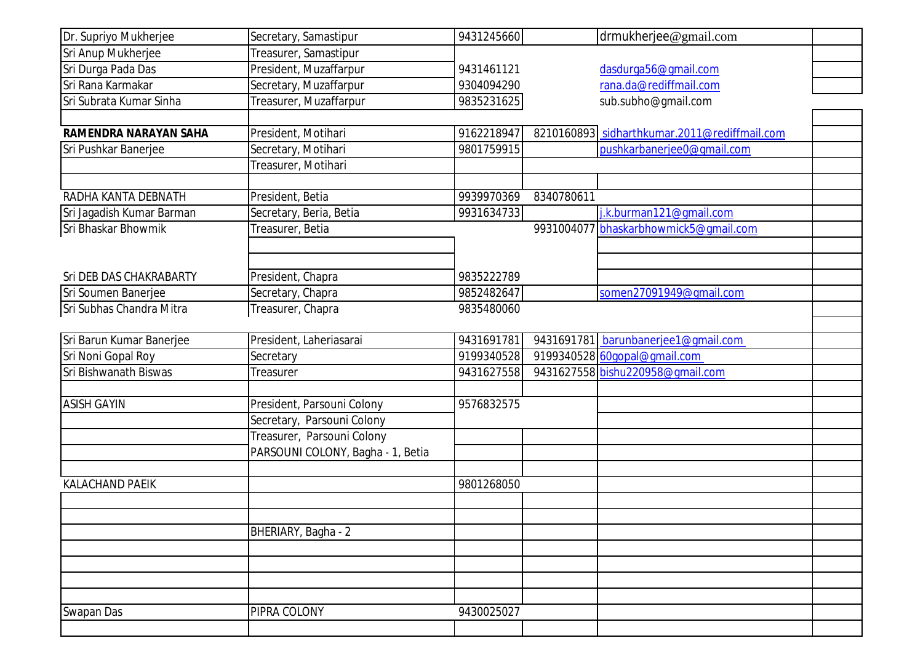| Dr. Supriyo Mukherjee        | Secretary, Samastipur             | 9431245660 |            | drmukherjee@gmail.com                        |  |
|------------------------------|-----------------------------------|------------|------------|----------------------------------------------|--|
| Sri Anup Mukherjee           | Treasurer, Samastipur             |            |            |                                              |  |
| Sri Durga Pada Das           | President, Muzaffarpur            | 9431461121 |            | dasdurga56@gmail.com                         |  |
| Sri Rana Karmakar            | Secretary, Muzaffarpur            | 9304094290 |            | rana.da@rediffmail.com                       |  |
| Sri Subrata Kumar Sinha      | Treasurer, Muzaffarpur            | 9835231625 |            | sub.subho@gmail.com                          |  |
|                              |                                   |            |            |                                              |  |
| <b>RAMENDRA NARAYAN SAHA</b> | President, Motihari               | 9162218947 |            | 8210160893 sidharthkumar.2011@rediffmail.com |  |
| Sri Pushkar Banerjee         | Secretary, Motihari               | 9801759915 |            | pushkarbanerjee0@qmail.com                   |  |
|                              | Treasurer, Motihari               |            |            |                                              |  |
|                              |                                   |            |            |                                              |  |
| RADHA KANTA DEBNATH          | President, Betia                  | 9939970369 | 8340780611 |                                              |  |
| Sri Jagadish Kumar Barman    | Secretary, Beria, Betia           | 9931634733 |            | j.k.burman121@gmail.com                      |  |
| Sri Bhaskar Bhowmik          | Treasurer, Betia                  |            |            | 9931004077 bhaskarbhowmick5@gmail.com        |  |
|                              |                                   |            |            |                                              |  |
|                              |                                   |            |            |                                              |  |
| Sri DEB DAS CHAKRABARTY      | President, Chapra                 | 9835222789 |            |                                              |  |
| Sri Soumen Banerjee          | Secretary, Chapra                 | 9852482647 |            | somen27091949@qmail.com                      |  |
| Sri Subhas Chandra Mitra     | Treasurer, Chapra                 | 9835480060 |            |                                              |  |
|                              |                                   |            |            |                                              |  |
| Sri Barun Kumar Banerjee     | President, Laheriasarai           | 9431691781 |            | 9431691781 barunbanerjee1@gmail.com          |  |
| Sri Noni Gopal Roy           | Secretary                         | 9199340528 |            | 9199340528 60gopal@gmail.com                 |  |
| Sri Bishwanath Biswas        | <b>Treasurer</b>                  | 9431627558 |            | 9431627558 bishu220958@gmail.com             |  |
|                              |                                   |            |            |                                              |  |
| <b>ASISH GAYIN</b>           | President, Parsouni Colony        | 9576832575 |            |                                              |  |
|                              | Secretary, Parsouni Colony        |            |            |                                              |  |
|                              | Treasurer, Parsouni Colony        |            |            |                                              |  |
|                              | PARSOUNI COLONY, Bagha - 1, Betia |            |            |                                              |  |
|                              |                                   |            |            |                                              |  |
| <b>KALACHAND PAEIK</b>       |                                   | 9801268050 |            |                                              |  |
|                              |                                   |            |            |                                              |  |
|                              |                                   |            |            |                                              |  |
|                              | BHERIARY, Bagha - 2               |            |            |                                              |  |
|                              |                                   |            |            |                                              |  |
|                              |                                   |            |            |                                              |  |
|                              |                                   |            |            |                                              |  |
|                              |                                   |            |            |                                              |  |
| Swapan Das                   | PIPRA COLONY                      | 9430025027 |            |                                              |  |
|                              |                                   |            |            |                                              |  |